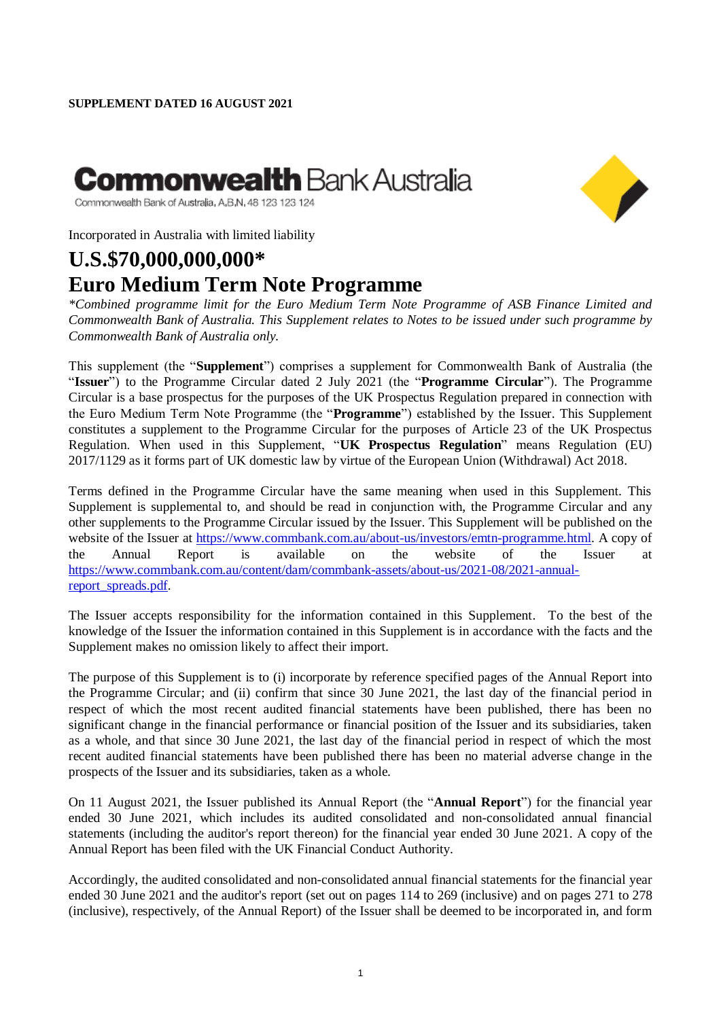## **Commonwealth** Bank Austra**l**ia



Commonwealth Bank of Australia, A,B,N, 48 123 123 124

Incorporated in Australia with limited liability

## **U.S.\$70,000,000,000\* Euro Medium Term Note Programme**

*\*Combined programme limit for the Euro Medium Term Note Programme of ASB Finance Limited and Commonwealth Bank of Australia. This Supplement relates to Notes to be issued under such programme by Commonwealth Bank of Australia only.*

This supplement (the "**Supplement**") comprises a supplement for Commonwealth Bank of Australia (the "**Issuer**") to the Programme Circular dated 2 July 2021 (the "**Programme Circular**"). The Programme Circular is a base prospectus for the purposes of the UK Prospectus Regulation prepared in connection with the Euro Medium Term Note Programme (the "**Programme**") established by the Issuer. This Supplement constitutes a supplement to the Programme Circular for the purposes of Article 23 of the UK Prospectus Regulation. When used in this Supplement, "**UK Prospectus Regulation**" means Regulation (EU) 2017/1129 as it forms part of UK domestic law by virtue of the European Union (Withdrawal) Act 2018.

Terms defined in the Programme Circular have the same meaning when used in this Supplement. This Supplement is supplemental to, and should be read in conjunction with, the Programme Circular and any other supplements to the Programme Circular issued by the Issuer. This Supplement will be published on the website of the Issuer at [https://www.commbank.com.au/about-us/investors/emtn-programme.html.](https://www.commbank.com.au/about-us/investors/emtn-programme.html) A copy of the Annual Report is available on the website of the Issuer at [https://www.commbank.com.au/content/dam/commbank-assets/about-us/2021-08/2021-annual](https://www.commbank.com.au/content/dam/commbank-assets/about-us/2021-08/2021-annual-report_spreads.pdf)[report\\_spreads.pdf.](https://www.commbank.com.au/content/dam/commbank-assets/about-us/2021-08/2021-annual-report_spreads.pdf)

The Issuer accepts responsibility for the information contained in this Supplement. To the best of the knowledge of the Issuer the information contained in this Supplement is in accordance with the facts and the Supplement makes no omission likely to affect their import.

The purpose of this Supplement is to (i) incorporate by reference specified pages of the Annual Report into the Programme Circular; and (ii) confirm that since 30 June 2021, the last day of the financial period in respect of which the most recent audited financial statements have been published, there has been no significant change in the financial performance or financial position of the Issuer and its subsidiaries, taken as a whole, and that since 30 June 2021, the last day of the financial period in respect of which the most recent audited financial statements have been published there has been no material adverse change in the prospects of the Issuer and its subsidiaries, taken as a whole.

On 11 August 2021, the Issuer published its Annual Report (the "**Annual Report**") for the financial year ended 30 June 2021, which includes its audited consolidated and non-consolidated annual financial statements (including the auditor's report thereon) for the financial year ended 30 June 2021. A copy of the Annual Report has been filed with the UK Financial Conduct Authority.

Accordingly, the audited consolidated and non-consolidated annual financial statements for the financial year ended 30 June 2021 and the auditor's report (set out on pages 114 to 269 (inclusive) and on pages 271 to 278 (inclusive), respectively, of the Annual Report) of the Issuer shall be deemed to be incorporated in, and form